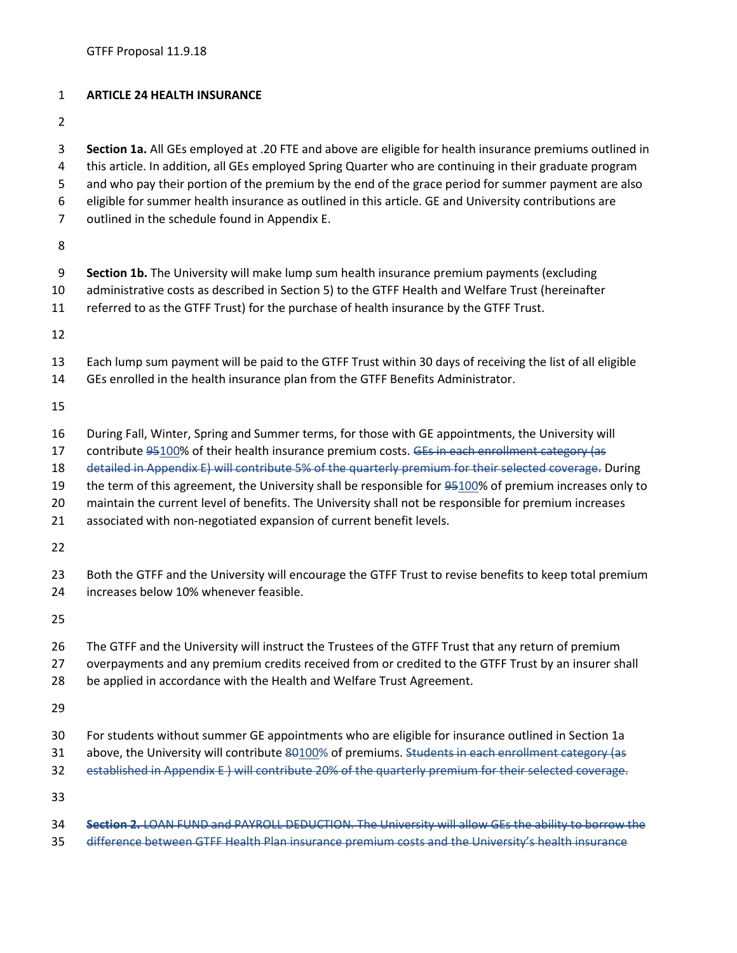## **ARTICLE 24 HEALTH INSURANCE**

 eligible for summer health insurance as outlined in this article. GE and University contributions are outlined in the schedule found in Appendix E. **Section 1b.** The University will make lump sum health insurance premium payments (excluding administrative costs as described in Section 5) to the GTFF Health and Welfare Trust (hereinafter referred to as the GTFF Trust) for the purchase of health insurance by the GTFF Trust. Each lump sum payment will be paid to the GTFF Trust within 30 days of receiving the list of all eligible GEs enrolled in the health insurance plan from the GTFF Benefits Administrator. During Fall, Winter, Spring and Summer terms, for those with GE appointments, the University will 17 contribute 95100% of their health insurance premium costs. GEs in each enrollment category (as 18 detailed in Appendix E) will contribute 5% of the quarterly premium for their selected coverage. During the term of this agreement, the University shall be responsible for 95100% of premium increases only to maintain the current level of benefits. The University shall not be responsible for premium increases associated with non-negotiated expansion of current benefit levels. Both the GTFF and the University will encourage the GTFF Trust to revise benefits to keep total premium increases below 10% whenever feasible. The GTFF and the University will instruct the Trustees of the GTFF Trust that any return of premium overpayments and any premium credits received from or credited to the GTFF Trust by an insurer shall be applied in accordance with the Health and Welfare Trust Agreement. For students without summer GE appointments who are eligible for insurance outlined in Section 1a 31 above, the University will contribute 80100% of premiums. Students in each enrollment category (as established in Appendix E ) will contribute 20% of the quarterly premium for their selected coverage. 

 **Section 1a.** All GEs employed at .20 FTE and above are eligible for health insurance premiums outlined in this article. In addition, all GEs employed Spring Quarter who are continuing in their graduate program and who pay their portion of the premium by the end of the grace period for summer payment are also

 **Section 2.** LOAN FUND and PAYROLL DEDUCTION. The University will allow GEs the ability to borrow the difference between GTFF Health Plan insurance premium costs and the University's health insurance